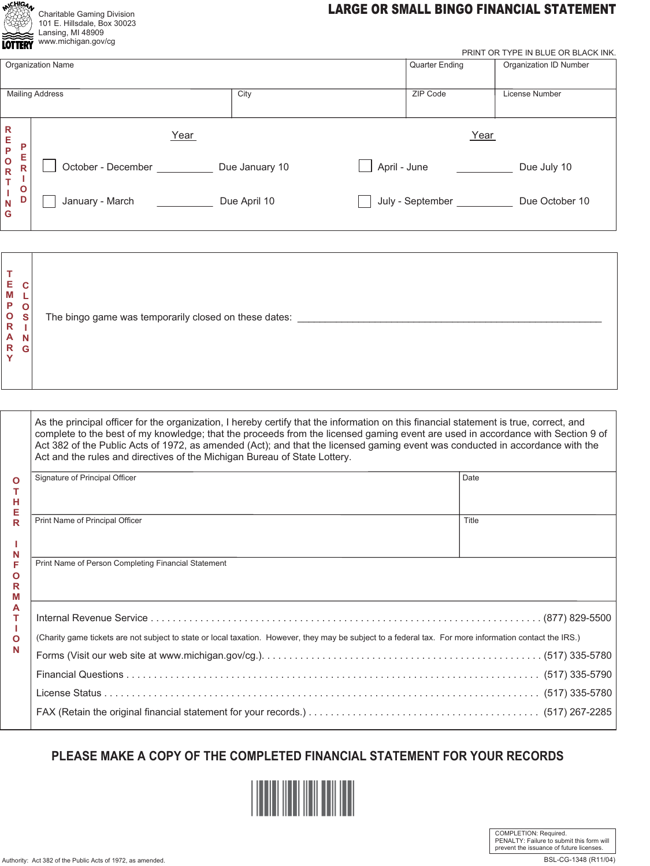|    | Charitable Gaming Division  |
|----|-----------------------------|
|    | 101 E. Hillsdale, Box 30023 |
|    | Lansing, MI 48909           |
| ľ0 | www.michigan.gov/cq         |
|    |                             |

## **LARGE OR SMALL BINGO FINANCIAL STATEMENT**

| wuw                                                                                                       | PRINT OR TYPE IN BLUE OR BLACK INK. |                |                       |                               |  |  |
|-----------------------------------------------------------------------------------------------------------|-------------------------------------|----------------|-----------------------|-------------------------------|--|--|
|                                                                                                           | <b>Organization Name</b>            |                | <b>Quarter Ending</b> | <b>Organization ID Number</b> |  |  |
| <b>Mailing Address</b>                                                                                    |                                     | City           | ZIP Code              | License Number                |  |  |
| $\mathsf{R}$<br>Е<br>P<br>P<br>Е<br>$\mathbf{o}$<br>R<br>$\mathsf{R}$<br>т<br>$\mathbf{o}$<br>D<br>N<br>G | Year                                |                | Year                  |                               |  |  |
|                                                                                                           | October - December                  | Due January 10 | April - June          | Due July 10                   |  |  |
|                                                                                                           | January - March                     | Due April 10   | July - September      | Due October 10                |  |  |

| As the principal officer for the organization, I hereby certify that the information on this financial statement is true, correct, and<br>complete to the best of my knowledge; that the proceeds from the licensed gaming event are used in accordance with Section 9 of<br>Act 382 of the Public Acts of 1972, as amended (Act); and that the licensed gaming event was conducted in accordance with the<br>Act and the rules and directives of the Michigan Bureau of State Lottery. |  |
|-----------------------------------------------------------------------------------------------------------------------------------------------------------------------------------------------------------------------------------------------------------------------------------------------------------------------------------------------------------------------------------------------------------------------------------------------------------------------------------------|--|
|                                                                                                                                                                                                                                                                                                                                                                                                                                                                                         |  |

| Signature of Principal Officer                                                                                                                          | Date  |  |  |  |
|---------------------------------------------------------------------------------------------------------------------------------------------------------|-------|--|--|--|
|                                                                                                                                                         |       |  |  |  |
| Print Name of Principal Officer                                                                                                                         | Title |  |  |  |
|                                                                                                                                                         |       |  |  |  |
| Print Name of Person Completing Financial Statement                                                                                                     |       |  |  |  |
|                                                                                                                                                         |       |  |  |  |
|                                                                                                                                                         |       |  |  |  |
| (Charity game tickets are not subject to state or local taxation. However, they may be subject to a federal tax. For more information contact the IRS.) |       |  |  |  |
|                                                                                                                                                         |       |  |  |  |
|                                                                                                                                                         |       |  |  |  |
|                                                                                                                                                         |       |  |  |  |
|                                                                                                                                                         |       |  |  |  |
|                                                                                                                                                         |       |  |  |  |

## PLEASE MAKE A COPY OF THE COMPLETED FINANCIAL STATEMENT FOR YOUR RECORDS